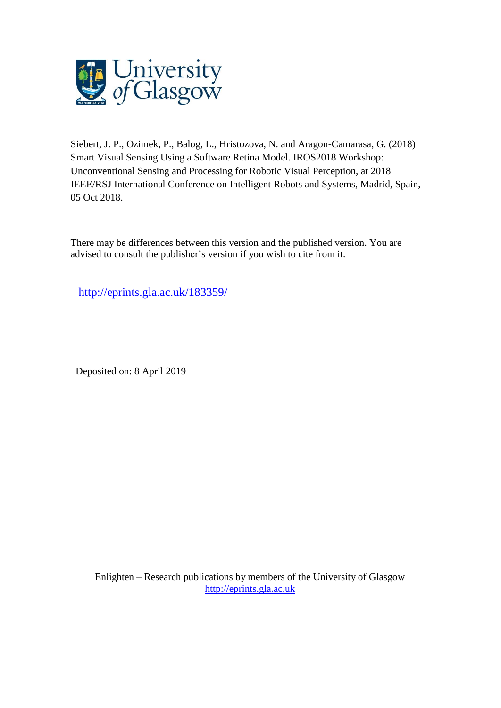

Siebert, J. P., Ozimek, P., Balog, L., Hristozova, N. and Aragon-Camarasa, G. (2018) Smart Visual Sensing Using a Software Retina Model. IROS2018 Workshop: Unconventional Sensing and Processing for Robotic Visual Perception, at 2018 IEEE/RSJ International Conference on Intelligent Robots and Systems, Madrid, Spain, 05 Oct 2018.

There may be differences between this version and the published version. You are advised to consult the publisher's version if you wish to cite from it.

<http://eprints.gla.ac.uk/183359/>

Deposited on: 8 April 2019

Enlighten – Research publications by members of the University of Glasgo[w](http://eprints.gla.ac.uk/) [http://eprints.gla.ac.uk](http://eprints.gla.ac.uk/)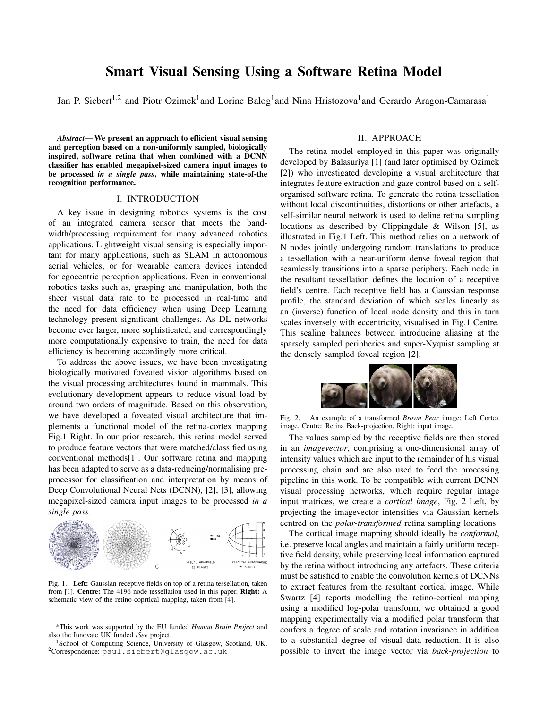# Smart Visual Sensing Using a Software Retina Model

Jan P. Siebert<sup>1,2</sup> and Piotr Ozimek<sup>1</sup>and Lorinc Balog<sup>1</sup>and Nina Hristozova<sup>1</sup>and Gerardo Aragon-Camarasa<sup>1</sup>

*Abstract*— We present an approach to efficient visual sensing and perception based on a non-uniformly sampled, biologically inspired, software retina that when combined with a DCNN classifier has enabled megapixel-sized camera input images to be processed *in a single pass*, while maintaining state-of-the recognition performance.

#### I. INTRODUCTION

A key issue in designing robotics systems is the cost of an integrated camera sensor that meets the bandwidth/processing requirement for many advanced robotics applications. Lightweight visual sensing is especially important for many applications, such as SLAM in autonomous aerial vehicles, or for wearable camera devices intended for egocentric perception applications. Even in conventional robotics tasks such as, grasping and manipulation, both the sheer visual data rate to be processed in real-time and the need for data efficiency when using Deep Learning technology present significant challenges. As DL networks become ever larger, more sophisticated, and correspondingly more computationally expensive to train, the need for data efficiency is becoming accordingly more critical.

To address the above issues, we have been investigating biologically motivated foveated vision algorithms based on the visual processing architectures found in mammals. This evolutionary development appears to reduce visual load by around two orders of magnitude. Based on this observation, we have developed a foveated visual architecture that implements a functional model of the retina-cortex mapping Fig.1 Right. In our prior research, this retina model served to produce feature vectors that were matched/classified using conventional methods[1]. Our software retina and mapping has been adapted to serve as a data-reducing/normalising preprocessor for classification and interpretation by means of Deep Convolutional Neural Nets (DCNN), [2], [3], allowing megapixel-sized camera input images to be processed *in a single pass*.



Fig. 1. Left: Gaussian receptive fields on top of a retina tessellation, taken from [1]. Centre: The 4196 node tessellation used in this paper. Right: A schematic view of the retino-coprtical mapping, taken from [4].

\*This work was supported by the EU funded *Human Brain Project* and also the Innovate UK funded *iSee* project.

<sup>1</sup>School of Computing Science, University of Glasgow, Scotland, UK.  $2$ Correspondence: paul.siebert@glasgow.ac.uk

# II. APPROACH

The retina model employed in this paper was originally developed by Balasuriya [1] (and later optimised by Ozimek [2]) who investigated developing a visual architecture that integrates feature extraction and gaze control based on a selforganised software retina. To generate the retina tessellation without local discontinuities, distortions or other artefacts, a self-similar neural network is used to define retina sampling locations as described by Clippingdale & Wilson [5], as illustrated in Fig.1 Left. This method relies on a network of N nodes jointly undergoing random translations to produce a tessellation with a near-uniform dense foveal region that seamlessly transitions into a sparse periphery. Each node in the resultant tessellation defines the location of a receptive field's centre. Each receptive field has a Gaussian response profile, the standard deviation of which scales linearly as an (inverse) function of local node density and this in turn scales inversely with eccentricity, visualised in Fig.1 Centre. This scaling balances between introducing aliasing at the sparsely sampled peripheries and super-Nyquist sampling at the densely sampled foveal region [2].



Fig. 2. An example of a transformed *Brown Bear* image: Left Cortex image, Centre: Retina Back-projection, Right: input image.

The values sampled by the receptive fields are then stored in an *imagevector*, comprising a one-dimensional array of intensity values which are input to the remainder of his visual processing chain and are also used to feed the processing pipeline in this work. To be compatible with current DCNN visual processing networks, which require regular image input matrices, we create a *cortical image*, Fig. 2 Left, by projecting the imagevector intensities via Gaussian kernels centred on the *polar-transformed* retina sampling locations.

The cortical image mapping should ideally be *conformal*, i.e. preserve local angles and maintain a fairly uniform receptive field density, while preserving local information captured by the retina without introducing any artefacts. These criteria must be satisfied to enable the convolution kernels of DCNNs to extract features from the resultant cortical image. While Swartz [4] reports modelling the retino-cortical mapping using a modified log-polar transform, we obtained a good mapping experimentally via a modified polar transform that confers a degree of scale and rotation invariance in addition to a substantial degree of visual data reduction. It is also possible to invert the image vector via *back-projection* to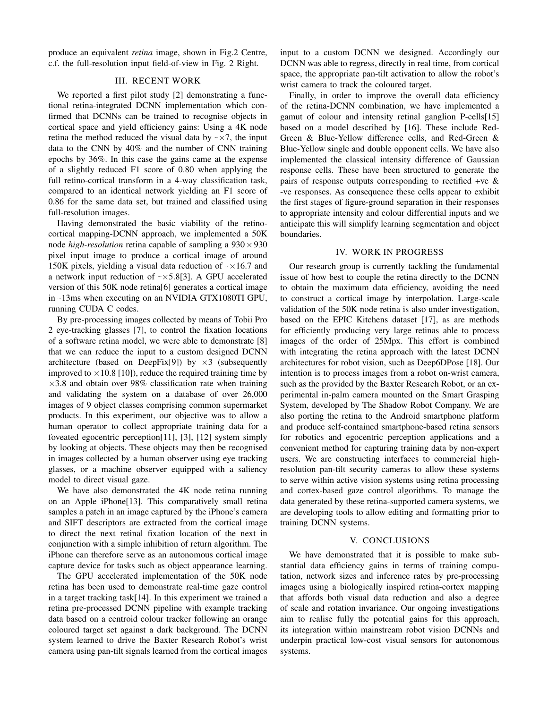produce an equivalent *retina* image, shown in Fig.2 Centre, c.f. the full-resolution input field-of-view in Fig. 2 Right.

## III. RECENT WORK

We reported a first pilot study [2] demonstrating a functional retina-integrated DCNN implementation which confirmed that DCNNs can be trained to recognise objects in cortical space and yield efficiency gains: Using a 4K node retina the method reduced the visual data by  $\sim \times 7$ , the input data to the CNN by 40% and the number of CNN training epochs by 36%. In this case the gains came at the expense of a slightly reduced F1 score of 0.80 when applying the full retino-cortical transform in a 4-way classification task, compared to an identical network yielding an F1 score of 0.86 for the same data set, but trained and classified using full-resolution images.

Having demonstrated the basic viability of the retinocortical mapping-DCNN approach, we implemented a 50K node *high-resolution* retina capable of sampling a  $930 \times 930$ pixel input image to produce a cortical image of around 150K pixels, yielding a visual data reduction of  $\sim$  × 16.7 and a network input reduction of  $\sim$   $\times$  5.8[3]. A GPU accelerated version of this 50K node retina[6] generates a cortical image in e13ms when executing on an NVIDIA GTX1080TI GPU, running CUDA C codes.

By pre-processing images collected by means of Tobii Pro 2 eye-tracking glasses [7], to control the fixation locations of a software retina model, we were able to demonstrate [8] that we can reduce the input to a custom designed DCNN architecture (based on DeepFix[9]) by  $\times$ 3 (subsequently improved to  $\times$  10.8 [10]), reduce the required training time by  $\times$ 3.8 and obtain over 98% classification rate when training and validating the system on a database of over 26,000 images of 9 object classes comprising common supermarket products. In this experiment, our objective was to allow a human operator to collect appropriate training data for a foveated egocentric perception[11], [3], [12] system simply by looking at objects. These objects may then be recognised in images collected by a human observer using eye tracking glasses, or a machine observer equipped with a saliency model to direct visual gaze.

We have also demonstrated the 4K node retina running on an Apple iPhone[13]. This comparatively small retina samples a patch in an image captured by the iPhone's camera and SIFT descriptors are extracted from the cortical image to direct the next retinal fixation location of the next in conjunction with a simple inhibition of return algorithm. The iPhone can therefore serve as an autonomous cortical image capture device for tasks such as object appearance learning.

The GPU accelerated implementation of the 50K node retina has been used to demonstrate real-time gaze control in a target tracking task[14]. In this experiment we trained a retina pre-processed DCNN pipeline with example tracking data based on a centroid colour tracker following an orange coloured target set against a dark background. The DCNN system learned to drive the Baxter Research Robot's wrist camera using pan-tilt signals learned from the cortical images

input to a custom DCNN we designed. Accordingly our DCNN was able to regress, directly in real time, from cortical space, the appropriate pan-tilt activation to allow the robot's wrist camera to track the coloured target.

Finally, in order to improve the overall data efficiency of the retina-DCNN combination, we have implemented a gamut of colour and intensity retinal ganglion P-cells[15] based on a model described by [16]. These include Red-Green & Blue-Yellow difference cells, and Red-Green & Blue-Yellow single and double opponent cells. We have also implemented the classical intensity difference of Gaussian response cells. These have been structured to generate the pairs of response outputs corresponding to rectified +ve  $\&$ -ve responses. As consequence these cells appear to exhibit the first stages of figure-ground separation in their responses to appropriate intensity and colour differential inputs and we anticipate this will simplify learning segmentation and object boundaries.

#### IV. WORK IN PROGRESS

Our research group is currently tackling the fundamental issue of how best to couple the retina directly to the DCNN to obtain the maximum data efficiency, avoiding the need to construct a cortical image by interpolation. Large-scale validation of the 50K node retina is also under investigation, based on the EPIC Kitchens dataset [17], as are methods for efficiently producing very large retinas able to process images of the order of 25Mpx. This effort is combined with integrating the retina approach with the latest DCNN architectures for robot vision, such as Deep6DPose [18]. Our intention is to process images from a robot on-wrist camera, such as the provided by the Baxter Research Robot, or an experimental in-palm camera mounted on the Smart Grasping System, developed by The Shadow Robot Company. We are also porting the retina to the Android smartphone platform and produce self-contained smartphone-based retina sensors for robotics and egocentric perception applications and a convenient method for capturing training data by non-expert users. We are constructing interfaces to commercial highresolution pan-tilt security cameras to allow these systems to serve within active vision systems using retina processing and cortex-based gaze control algorithms. To manage the data generated by these retina-supported camera systems, we are developing tools to allow editing and formatting prior to training DCNN systems.

## V. CONCLUSIONS

We have demonstrated that it is possible to make substantial data efficiency gains in terms of training computation, network sizes and inference rates by pre-processing images using a biologically inspired retina-cortex mapping that affords both visual data reduction and also a degree of scale and rotation invariance. Our ongoing investigations aim to realise fully the potential gains for this approach, its integration within mainstream robot vision DCNNs and underpin practical low-cost visual sensors for autonomous systems.